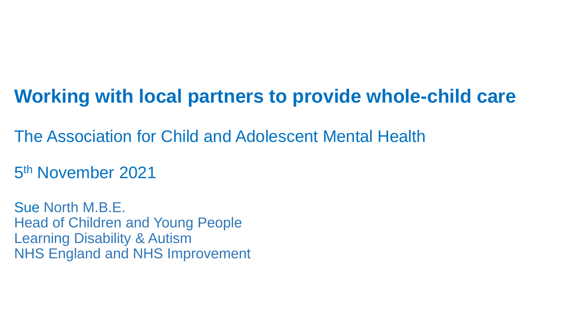### **Working with local partners to provide whole-child care**

The Association for Child and Adolescent Mental Health

5 th November 2021

Sue North M.B.E. Head of Children and Young People Learning Disability & Autism NHS England and NHS Improvement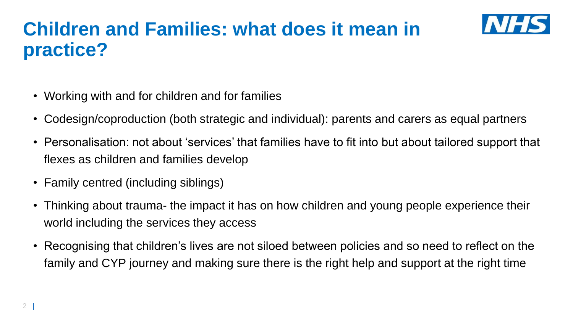#### **Children and Families: what does it mean in practice?**



- Working with and for children and for families
- Codesign/coproduction (both strategic and individual): parents and carers as equal partners
- Personalisation: not about 'services' that families have to fit into but about tailored support that flexes as children and families develop
- Family centred (including siblings)
- Thinking about trauma- the impact it has on how children and young people experience their world including the services they access
- Recognising that children's lives are not siloed between policies and so need to reflect on the family and CYP journey and making sure there is the right help and support at the right time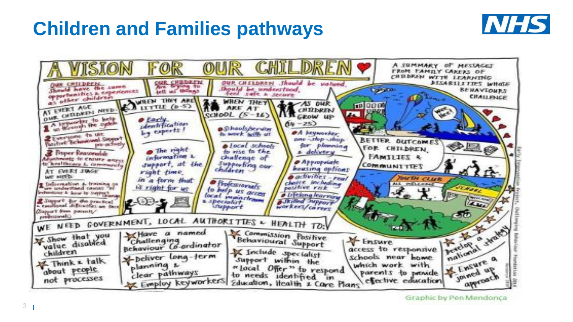#### **Children and Families pathways**





Graphic by Pen Mendonca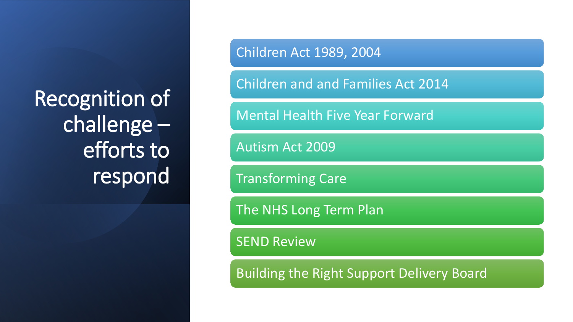Recognition of challenge – efforts to respond

Children Act 1989, 2004

Children and and Families Act 2014

Mental Health Five Year Forward

Autism Act 2009

Transforming Care

The NHS Long Term Plan

SEND Review

Building the Right Support Delivery Board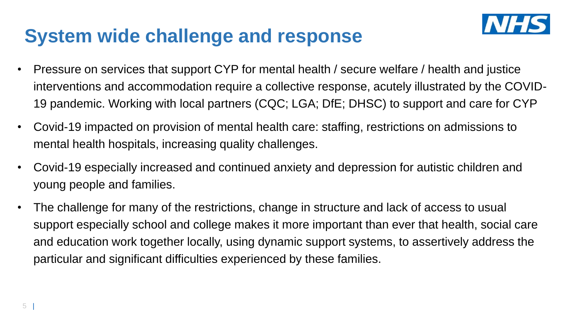#### **System wide challenge and response**



- Pressure on services that support CYP for mental health / secure welfare / health and justice interventions and accommodation require a collective response, acutely illustrated by the COVID-19 pandemic. Working with local partners (CQC; LGA; DfE; DHSC) to support and care for CYP
- Covid-19 impacted on provision of mental health care: staffing, restrictions on admissions to mental health hospitals, increasing quality challenges.
- Covid-19 especially increased and continued anxiety and depression for autistic children and young people and families.
- The challenge for many of the restrictions, change in structure and lack of access to usual support especially school and college makes it more important than ever that health, social care and education work together locally, using dynamic support systems, to assertively address the particular and significant difficulties experienced by these families.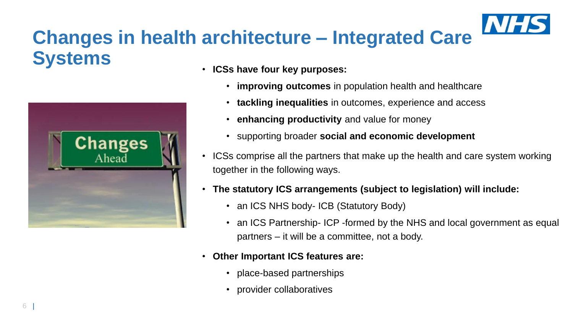## **Changes in health architecture – Integrated Care Systems**



- **ICSs have four key purposes:**
	- **improving outcomes** in population health and healthcare
	- **tackling inequalities** in outcomes, experience and access
	- **enhancing productivity** and value for money
	- supporting broader **social and economic development**
- ICSs comprise all the partners that make up the health and care system working together in the following ways.
- **The statutory ICS arrangements (subject to legislation) will include:**
	- an ICS NHS body- ICB (Statutory Body)
	- an ICS Partnership-ICP -formed by the NHS and local government as equal partners – it will be a committee, not a body.
- **Other Important ICS features are:**
	- place-based partnerships
	- provider collaboratives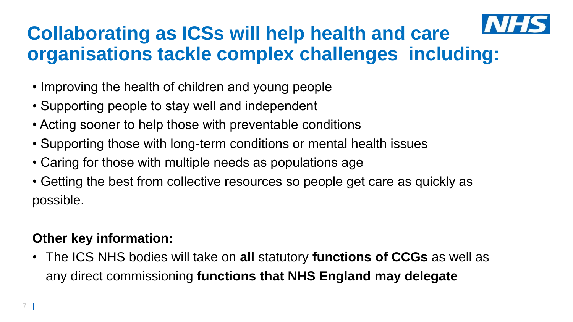

### **Collaborating as ICSs will help health and care organisations tackle complex challenges including:**

- Improving the health of children and young people
- Supporting people to stay well and independent
- Acting sooner to help those with preventable conditions
- Supporting those with long-term conditions or mental health issues
- Caring for those with multiple needs as populations age
- Getting the best from collective resources so people get care as quickly as possible.

#### **Other key information:**

• The ICS NHS bodies will take on **all** statutory **functions of CCGs** as well as any direct commissioning **functions that NHS England may delegate**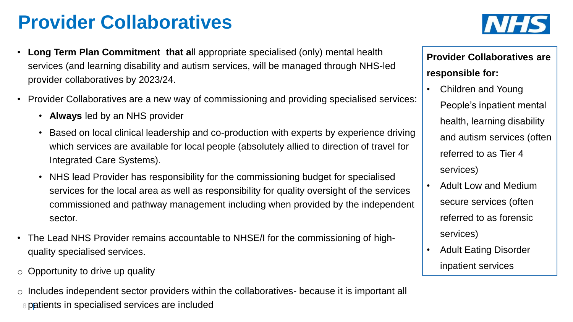### **Provider Collaboratives**

- **Long Term Plan Commitment that a**ll appropriate specialised (only) mental health services (and learning disability and autism services, will be managed through NHS-led provider collaboratives by 2023/24.
- Provider Collaboratives are a new way of commissioning and providing specialised services:
	- **Always** led by an NHS provider
	- Based on local clinical leadership and co-production with experts by experience driving which services are available for local people (absolutely allied to direction of travel for Integrated Care Systems).
	- NHS lead Provider has responsibility for the commissioning budget for specialised services for the local area as well as responsibility for quality oversight of the services commissioned and pathway management including when provided by the independent sector.
- The Lead NHS Provider remains accountable to NHSE/I for the commissioning of highquality specialised services.
- $\circ$  Opportunity to drive up quality
- 8 patients in specialised services are included o Includes independent sector providers within the collaboratives- because it is important all



#### **Provider Collaboratives are responsible for:**

- Children and Young People's inpatient mental health, learning disability and autism services (often referred to as Tier 4 services)
- Adult Low and Medium secure services (often referred to as forensic services)
- Adult Eating Disorder inpatient services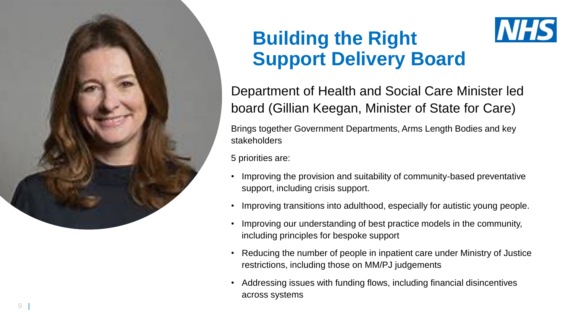

### **Building the Right Support Delivery Board**

Department of Health and Social Care Minister led board (Gillian Keegan, Minister of State for Care)

**NHS** 

Brings together Government Departments, Arms Length Bodies and key stakeholders

5 priorities are:

- Improving the provision and suitability of community-based preventative support, including crisis support.
- 
- Improving transitions into adulthood, especially for autistic young people. Improving our understanding of best practice models in the community, including principles for bespoke support
- Reducing the number of people in inpatient care under Ministry of Justice restrictions, including those on MM/PJ judgements
- Addressing issues with funding flows, including financial disincentives across systems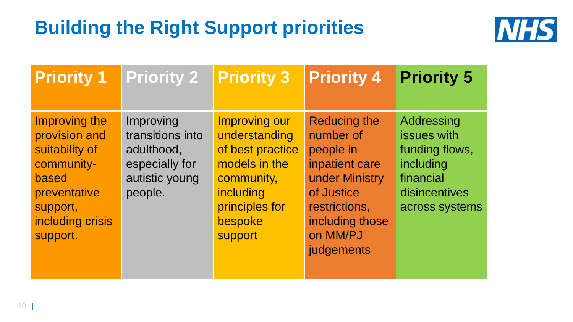# **Building the Right Support priorities**



| <b>Priority 1</b>                                                                                                                   | <b>Priority 2</b>                                                                          | <b>Priority 3</b>                                                                                                                             | <b>Priority 4</b>                                                                                                                                             | <b>Priority 5</b>                                                                                        |
|-------------------------------------------------------------------------------------------------------------------------------------|--------------------------------------------------------------------------------------------|-----------------------------------------------------------------------------------------------------------------------------------------------|---------------------------------------------------------------------------------------------------------------------------------------------------------------|----------------------------------------------------------------------------------------------------------|
| Improving the<br>provision and<br>suitability of<br>community-<br>based<br>preventative<br>support,<br>including crisis<br>support. | Improving<br>transitions into<br>adulthood,<br>especially for<br>autistic young<br>people. | <b>Improving our</b><br>understanding<br>of best practice<br>models in the<br>community,<br>including<br>principles for<br>bespoke<br>support | <b>Reducing the</b><br>number of<br>people in<br>inpatient care<br>under Ministry<br>of Justice<br>restrictions,<br>including those<br>on MM/PJ<br>judgements | Addressing<br>issues with<br>funding flows,<br>including<br>financial<br>disincentives<br>across systems |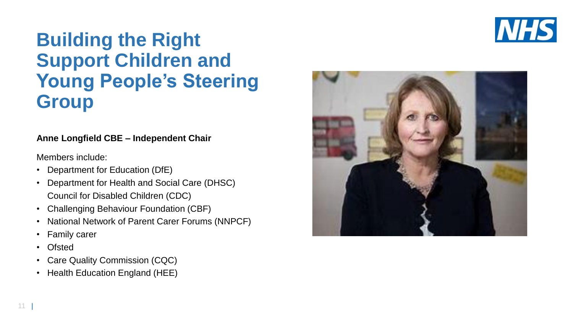

#### **Building the Right Support Children and Young People's Steering Group**

#### **Anne Longfield CBE – Independent Chair**

Members include:

- Department for Education (DfE)
- Department for Health and Social Care (DHSC) Council for Disabled Children (CDC)
- Challenging Behaviour Foundation (CBF)
- National Network of Parent Carer Forums (NNPCF)
- Family carer
- **Ofsted**
- Care Quality Commission (CQC)
- Health Education England (HEE)

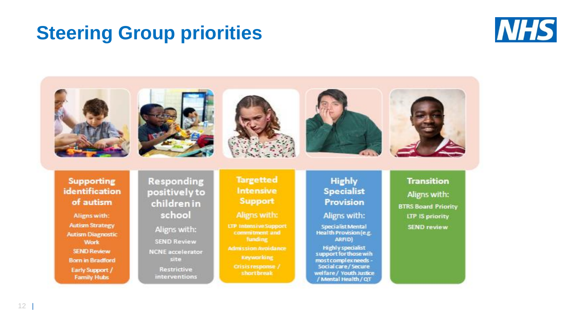#### **Steering Group priorities**



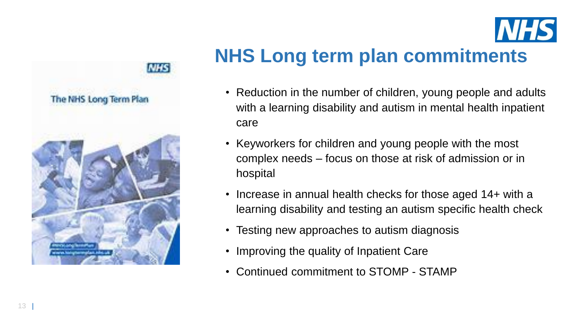



#### **NHS Long term plan commitments**

- Reduction in the number of children, young people and adults with a learning disability and autism in mental health inpatient care
- Keyworkers for children and young people with the most complex needs – focus on those at risk of admission or in hospital
- Increase in annual health checks for those aged 14+ with a learning disability and testing an autism specific health check
- Testing new approaches to autism diagnosis
- Improving the quality of Inpatient Care
- Continued commitment to STOMP STAMP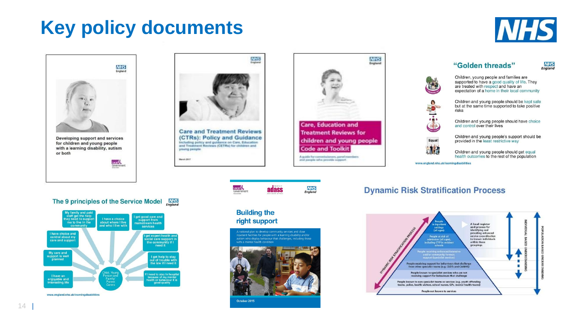### **Key policy documents**



**NHS**<br>England

"Golden threads"

and control over their lives

provided in the least restrictive way

Children, young people and families are supported to have a good quality of life. They are treated with respect and have an expectation of a home in their local community Children and young people should be kept safe but at the same time supported to take positive

Children and young people should have choice

Children and young people's support should be

Children and young people should get equal

health outcomes to the rest of the population



**Care, Education and Treatment Reviews for** children and young people **Code and Toolkit** A quide for commissioners, panel members

**NHS** 

England

**NHS** 

England

**Dynamic Risk Stratification Process** 

www.england.nhs.uk/learningdisabilities

Equal!

**KTE** 



risks

The 9 principles of the Service Model MES





Local <sup>1</sup>

**Building the** right support



**adass** 

October 2015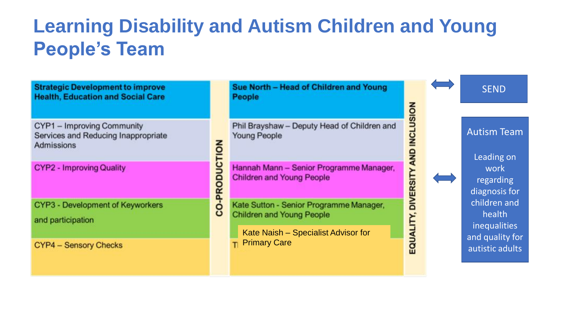## **Learning Disability and Autism Children and Young People's Team**

CO-PRODUCTION

**Strategic Development to improve Health, Education and Social Care** 

CYP1 - Improving Community Services and Reducing Inappropriate **Admissions** 

**CYP2 - Improving Quality** 

CYP3 - Development of Keyworkers and participation

**CYP4 - Sensory Checks** 

Sue North - Head of Children and Young **People** 

Phil Brayshaw - Deputy Head of Children and **Young People** 

Hannah Mann - Senior Programme Manager, **Children and Young People** 

Kate Sutton - Senior Programme Manager, **Children and Young People** 

Kate Naish – Specialist Advisor for **T** Primary Care



Leading on work<sup>1</sup> regarding diagnosis for children and health inequalities and quality for autistic adults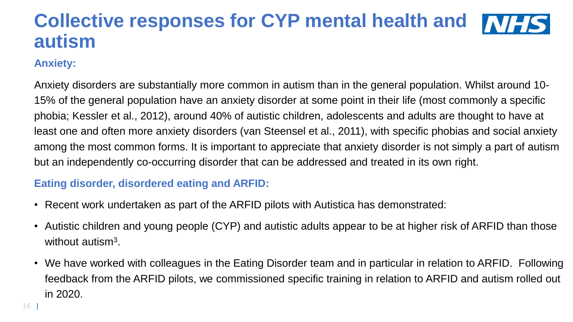#### **Collective responses for CYP mental health and MFS autism**

#### **Anxiety:**

Anxiety disorders are substantially more common in autism than in the general population. Whilst around 10- 15% of the general population have an anxiety disorder at some point in their life (most commonly a specific phobia; Kessler et al., 2012), around 40% of autistic children, adolescents and adults are thought to have at least one and often more anxiety disorders (van Steensel et al., 2011), with specific phobias and social anxiety among the most common forms. It is important to appreciate that anxiety disorder is not simply a part of autism but an independently co-occurring disorder that can be addressed and treated in its own right.

#### **Eating disorder, disordered eating and ARFID:**

- Recent work undertaken as part of the ARFID pilots with Autistica has demonstrated:
- Autistic children and young people (CYP) and autistic adults appear to be at higher risk of ARFID than those without autism<sup>3</sup>.
- We have worked with colleagues in the Eating Disorder team and in particular in relation to ARFID. Following feedback from the ARFID pilots, we commissioned specific training in relation to ARFID and autism rolled out in 2020.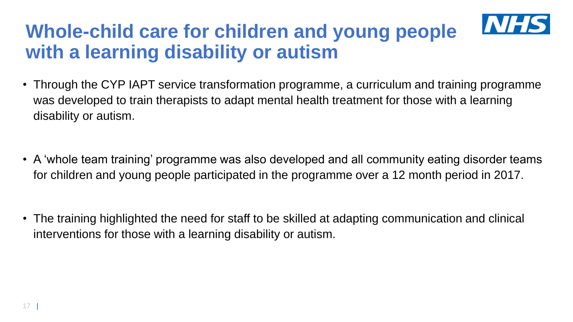### **Whole-child care for children and young people with a learning disability or autism**

- Through the CYP IAPT service transformation programme, a curriculum and training programme was developed to train therapists to adapt mental health treatment for those with a learning disability or autism.
- A 'whole team training' programme was also developed and all community eating disorder teams for children and young people participated in the programme over a 12 month period in 2017.
- The training highlighted the need for staff to be skilled at adapting communication and clinical interventions for those with a learning disability or autism.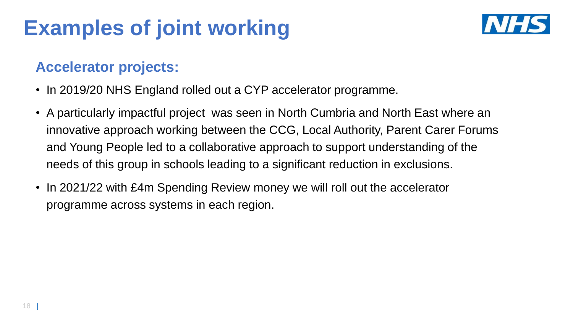# **Examples of joint working**



#### **Accelerator projects:**

- In 2019/20 NHS England rolled out a CYP accelerator programme.
- A particularly impactful project was seen in North Cumbria and North East where an innovative approach working between the CCG, Local Authority, Parent Carer Forums and Young People led to a collaborative approach to support understanding of the needs of this group in schools leading to a significant reduction in exclusions.
- In 2021/22 with £4m Spending Review money we will roll out the accelerator programme across systems in each region.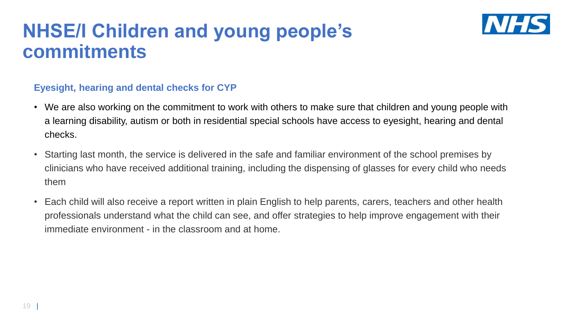#### **NHSE/I Children and young people's commitments**



#### **Eyesight, hearing and dental checks for CYP**

- We are also working on the commitment to work with others to make sure that children and young people with a learning disability, autism or both in residential special schools have access to eyesight, hearing and dental checks.
- Starting last month, the service is delivered in the safe and familiar environment of the school premises by clinicians who have received additional training, including the dispensing of glasses for every child who needs them
- Each child will also receive a report written in plain English to help parents, carers, teachers and other health professionals understand what the child can see, and offer strategies to help improve engagement with their immediate environment - in the classroom and at home.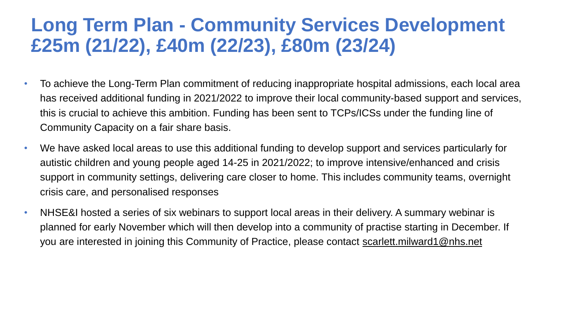#### **Long Term Plan - Community Services Development £25m (21/22), £40m (22/23), £80m (23/24)**

- To achieve the Long-Term Plan commitment of reducing inappropriate hospital admissions, each local area has received additional funding in 2021/2022 to improve their local community-based support and services, this is crucial to achieve this ambition. Funding has been sent to TCPs/ICSs under the funding line of Community Capacity on a fair share basis.
- We have asked local areas to use this additional funding to develop support and services particularly for autistic children and young people aged 14-25 in 2021/2022; to improve intensive/enhanced and crisis support in community settings, delivering care closer to home. This includes community teams, overnight crisis care, and personalised responses
- NHSE&I hosted a series of six webinars to support local areas in their delivery. A summary webinar is planned for early November which will then develop into a community of practise starting in December. If you are interested in joining this Community of Practice, please contact [scarlett.milward1@nhs.net](mailto:scarlett.milward1@nhs.net)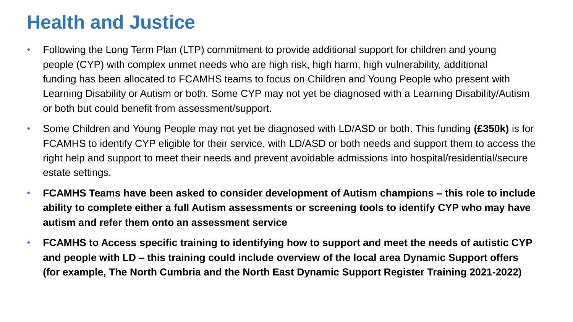#### **Health and Justice**

- Following the Long Term Plan (LTP) commitment to provide additional support for children and young people (CYP) with complex unmet needs who are high risk, high harm, high vulnerability, additional funding has been allocated to FCAMHS teams to focus on Children and Young People who present with Learning Disability or Autism or both. Some CYP may not yet be diagnosed with a Learning Disability/Autism or both but could benefit from assessment/support.
- Some Children and Young People may not yet be diagnosed with LD/ASD or both. This funding **(£350k)** is for FCAMHS to identify CYP eligible for their service, with LD/ASD or both needs and support them to access the right help and support to meet their needs and prevent avoidable admissions into hospital/residential/secure estate settings.
- **FCAMHS Teams have been asked to consider development of Autism champions – this role to include ability to complete either a full Autism assessments or screening tools to identify CYP who may have autism and refer them onto an assessment service**
- **FCAMHS to Access specific training to identifying how to support and meet the needs of autistic CYP and people with LD – this training could include overview of the local area Dynamic Support offers (for example, The North Cumbria and the North East Dynamic Support Register Training 2021-2022)**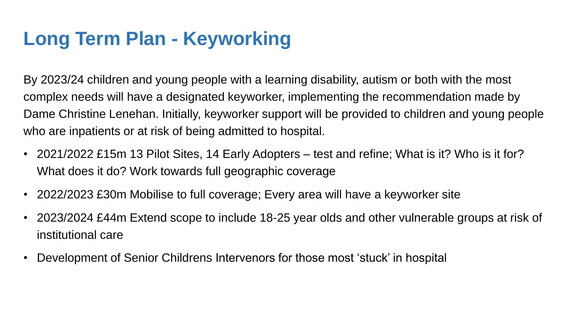### **Long Term Plan - Keyworking**

By 2023/24 children and young people with a learning disability, autism or both with the most complex needs will have a designated keyworker, implementing the recommendation made by Dame Christine Lenehan. Initially, keyworker support will be provided to children and young people who are inpatients or at risk of being admitted to hospital.

- 2021/2022 £15m 13 Pilot Sites, 14 Early Adopters test and refine; What is it? Who is it for? What does it do? Work towards full geographic coverage
- 2022/2023 £30m Mobilise to full coverage; Every area will have a keyworker site
- 2023/2024 £44m Extend scope to include 18-25 year olds and other vulnerable groups at risk of institutional care
- Development of Senior Childrens Intervenors for those most 'stuck' in hospital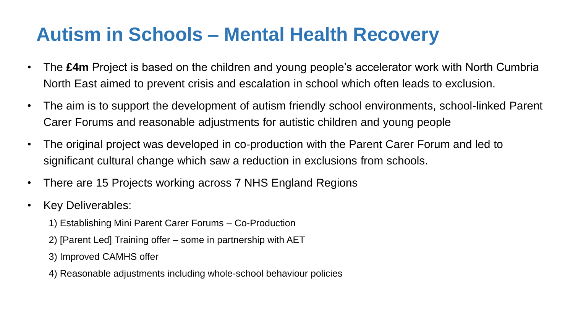#### **Autism in Schools – Mental Health Recovery**

- The **£4m** Project is based on the children and young people's accelerator work with North Cumbria North East aimed to prevent crisis and escalation in school which often leads to exclusion.
- The aim is to support the development of autism friendly school environments, school-linked Parent Carer Forums and reasonable adjustments for autistic children and young people
- The original project was developed in co-production with the Parent Carer Forum and led to significant cultural change which saw a reduction in exclusions from schools.
- There are 15 Projects working across 7 NHS England Regions
- Key Deliverables:
	- 1) Establishing Mini Parent Carer Forums Co-Production
	- 2) [Parent Led] Training offer some in partnership with AET
	- 3) Improved CAMHS offer
	- 4) Reasonable adjustments including whole-school behaviour policies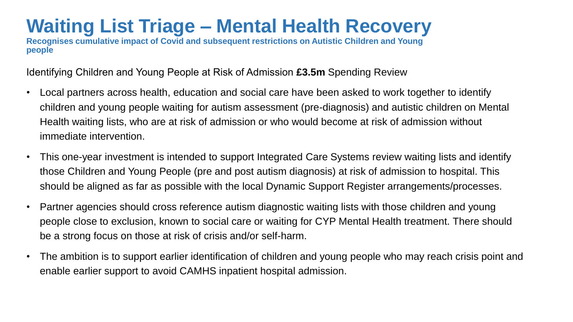#### **Waiting List Triage – Mental Health Recovery**

**Recognises cumulative impact of Covid and subsequent restrictions on Autistic Children and Young people** 

Identifying Children and Young People at Risk of Admission **£3.5m** Spending Review

- Local partners across health, education and social care have been asked to work together to identify children and young people waiting for autism assessment (pre-diagnosis) and autistic children on Mental Health waiting lists, who are at risk of admission or who would become at risk of admission without immediate intervention.
- This one-year investment is intended to support Integrated Care Systems review waiting lists and identify those Children and Young People (pre and post autism diagnosis) at risk of admission to hospital. This should be aligned as far as possible with the local Dynamic Support Register arrangements/processes.
- Partner agencies should cross reference autism diagnostic waiting lists with those children and young people close to exclusion, known to social care or waiting for CYP Mental Health treatment. There should be a strong focus on those at risk of crisis and/or self-harm.
- The ambition is to support earlier identification of children and young people who may reach crisis point and enable earlier support to avoid CAMHS inpatient hospital admission.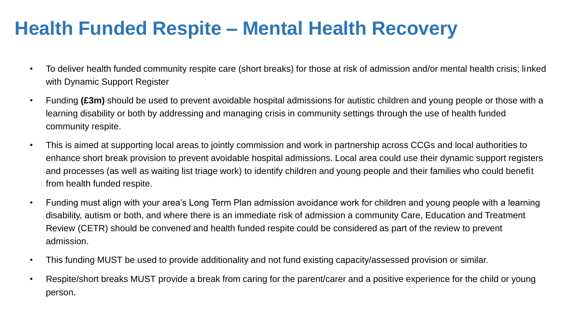#### **Health Funded Respite – Mental Health Recovery**

- To deliver health funded community respite care (short breaks) for those at risk of admission and/or mental health crisis; linked with Dynamic Support Register
- Funding **(£3m)** should be used to prevent avoidable hospital admissions for autistic children and young people or those with a learning disability or both by addressing and managing crisis in community settings through the use of health funded community respite.
- This is aimed at supporting local areas to jointly commission and work in partnership across CCGs and local authorities to enhance short break provision to prevent avoidable hospital admissions. Local area could use their dynamic support registers and processes (as well as waiting list triage work) to identify children and young people and their families who could benefit from health funded respite.
- Funding must align with your area's Long Term Plan admission avoidance work for children and young people with a learning disability, autism or both, and where there is an immediate risk of admission a community Care, Education and Treatment Review (CETR) should be convened and health funded respite could be considered as part of the review to prevent admission.
- This funding MUST be used to provide additionality and not fund existing capacity/assessed provision or similar.
- Respite/short breaks MUST provide a break from caring for the parent/carer and a positive experience for the child or young person.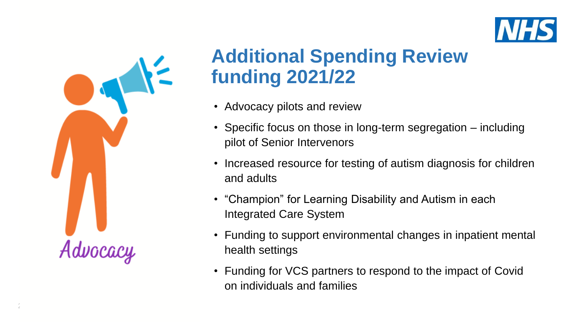



 $\frac{2}{6}$ 

### **Additional Spending Review funding 2021/22**

- Advocacy pilots and review
- Specific focus on those in long-term segregation including pilot of Senior Intervenors
- Increased resource for testing of autism diagnosis for children and adults
- "Champion" for Learning Disability and Autism in each Integrated Care System
- Funding to support environmental changes in inpatient mental health settings
- Funding for VCS partners to respond to the impact of Covid on individuals and families